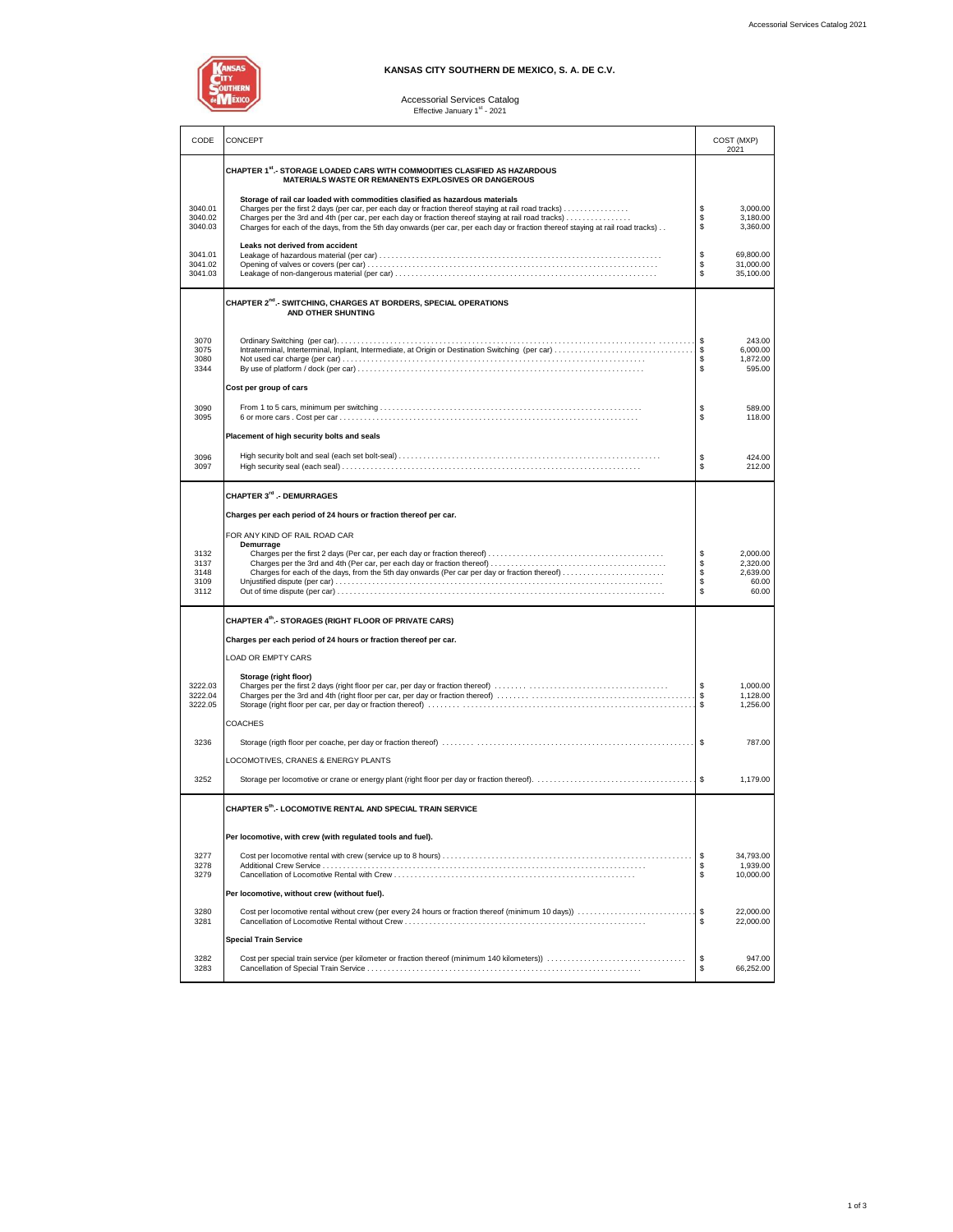

### **KANSAS CITY SOUTHERN DE MEXICO, S. A. DE C.V.**

# Accessorial Services Catalog<br>Effective January 1<sup>st</sup> - 2021

|                               |                                                                                                                                                                                                                                                                                                                                                                                                                               | COST (MXP)<br>2021         |                                          |  |
|-------------------------------|-------------------------------------------------------------------------------------------------------------------------------------------------------------------------------------------------------------------------------------------------------------------------------------------------------------------------------------------------------------------------------------------------------------------------------|----------------------------|------------------------------------------|--|
|                               | CHAPTER 1st - STORAGE LOADED CARS WITH COMMODITIES CLASIFIED AS HAZARDOUS<br>MATERIALS WASTE OR REMANENTS EXPLOSIVES OR DANGEROUS                                                                                                                                                                                                                                                                                             |                            |                                          |  |
| 3040.01<br>3040.02<br>3040.03 | Storage of rail car loaded with commodities clasified as hazardous materials<br>Charges per the first 2 days (per car, per each day or fraction thereof staying at rail road tracks)<br>Charges per the 3rd and 4th (per car, per each day or fraction thereof staying at rail road tracks)<br>Charges for each of the days, from the 5th day onwards (per car, per each day or fraction thereof staying at rail road tracks) | \$<br>\$<br>\$             | 3,000.00<br>3,180.00<br>3,360.00         |  |
| 3041.01<br>3041.02<br>3041.03 | Leaks not derived from accident                                                                                                                                                                                                                                                                                                                                                                                               | \$<br>\$<br>\$             | 69,800.00<br>31,000.00<br>35,100.00      |  |
|                               | CHAPTER 2 <sup>nd</sup> .- SWITCHING, CHARGES AT BORDERS, SPECIAL OPERATIONS<br>AND OTHER SHUNTING                                                                                                                                                                                                                                                                                                                            |                            |                                          |  |
| 3070<br>3075<br>3080<br>3344  |                                                                                                                                                                                                                                                                                                                                                                                                                               | \$<br>\$<br>\$<br>\$       | 243.00<br>6,000.00<br>1,872.00<br>595.00 |  |
|                               | Cost per group of cars                                                                                                                                                                                                                                                                                                                                                                                                        |                            |                                          |  |
| 3090<br>3095                  | Placement of high security bolts and seals                                                                                                                                                                                                                                                                                                                                                                                    | \$<br>\$                   | 589.00<br>118.00                         |  |
| 3096                          |                                                                                                                                                                                                                                                                                                                                                                                                                               |                            | 424.00                                   |  |
| 3097                          |                                                                                                                                                                                                                                                                                                                                                                                                                               | \$<br>\$                   | 212.00                                   |  |
|                               | CHAPTER 3rd .- DEMURRAGES                                                                                                                                                                                                                                                                                                                                                                                                     |                            |                                          |  |
|                               | Charges per each period of 24 hours or fraction thereof per car.                                                                                                                                                                                                                                                                                                                                                              |                            |                                          |  |
|                               | FOR ANY KIND OF RAIL ROAD CAR                                                                                                                                                                                                                                                                                                                                                                                                 |                            |                                          |  |
| 3132                          | Demurrage                                                                                                                                                                                                                                                                                                                                                                                                                     | \$                         | 2.000.00                                 |  |
| 3137<br>3148                  | Charges for each of the days, from the 5th day onwards (Per car per day or fraction thereof)                                                                                                                                                                                                                                                                                                                                  | \$                         | 2.320.00<br>2,639.00                     |  |
| 3109<br>3112                  |                                                                                                                                                                                                                                                                                                                                                                                                                               | \$<br>\$                   | 60.00<br>60.00                           |  |
|                               | CHAPTER 4th.- STORAGES (RIGHT FLOOR OF PRIVATE CARS)                                                                                                                                                                                                                                                                                                                                                                          |                            |                                          |  |
|                               | Charges per each period of 24 hours or fraction thereof per car.                                                                                                                                                                                                                                                                                                                                                              |                            |                                          |  |
|                               | LOAD OR EMPTY CARS                                                                                                                                                                                                                                                                                                                                                                                                            |                            |                                          |  |
| 3222.03<br>3222.04<br>3222.05 | Storage (right floor)                                                                                                                                                                                                                                                                                                                                                                                                         | \$<br>\$                   | 1,000.00<br>1,128.00<br>1,256.00         |  |
|                               | <b>COACHES</b>                                                                                                                                                                                                                                                                                                                                                                                                                |                            |                                          |  |
| 3236                          |                                                                                                                                                                                                                                                                                                                                                                                                                               |                            | 787.00                                   |  |
|                               | LOCOMOTIVES, CRANES & ENERGY PLANTS                                                                                                                                                                                                                                                                                                                                                                                           |                            |                                          |  |
| 3252                          |                                                                                                                                                                                                                                                                                                                                                                                                                               |                            | 1.179.00                                 |  |
|                               | CHAPTER 5th.- LOCOMOTIVE RENTAL AND SPECIAL TRAIN SERVICE                                                                                                                                                                                                                                                                                                                                                                     |                            |                                          |  |
|                               | Per locomotive, with crew (with regulated tools and fuel).                                                                                                                                                                                                                                                                                                                                                                    |                            |                                          |  |
| 3277<br>3278<br>3279          |                                                                                                                                                                                                                                                                                                                                                                                                                               | \$<br>\$<br>$$\mathbb{S}$$ | 34,793.00<br>1,939.00<br>10,000.00       |  |
|                               | Per locomotive, without crew (without fuel).                                                                                                                                                                                                                                                                                                                                                                                  |                            |                                          |  |
| 3280<br>3281                  |                                                                                                                                                                                                                                                                                                                                                                                                                               | \$<br>\$                   | 22,000.00<br>22,000.00                   |  |
|                               | <b>Special Train Service</b>                                                                                                                                                                                                                                                                                                                                                                                                  |                            |                                          |  |
| 3282<br>3283                  | Cost per special train service (per kilometer or fraction thereof (minimum 140 kilometers))                                                                                                                                                                                                                                                                                                                                   | \$<br>\$                   | 947.00<br>66,252.00                      |  |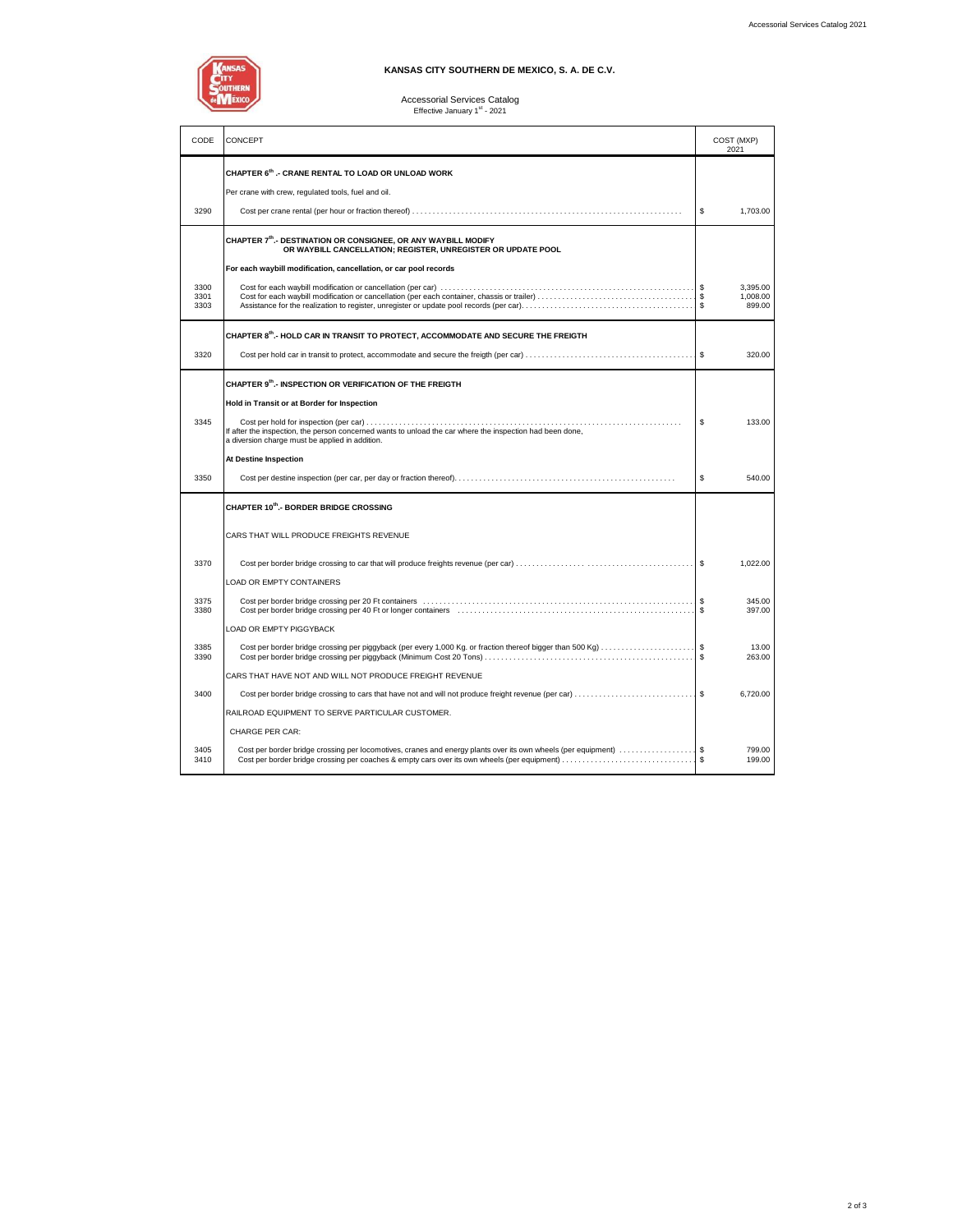

### **KANSAS CITY SOUTHERN DE MEXICO, S. A. DE C.V.**

# Accessorial Services Catalog<br>Effective January 1<sup>st</sup> - 2021

| CODE                 | CONCEPT                                                                                                                                                                                                          |              | COST (MXP)<br>2021             |
|----------------------|------------------------------------------------------------------------------------------------------------------------------------------------------------------------------------------------------------------|--------------|--------------------------------|
|                      | CHAPTER 6th .- CRANE RENTAL TO LOAD OR UNLOAD WORK<br>Per crane with crew, regulated tools, fuel and oil.                                                                                                        |              |                                |
| 3290                 |                                                                                                                                                                                                                  | \$           | 1,703.00                       |
|                      | CHAPTER 7th.- DESTINATION OR CONSIGNEE, OR ANY WAYBILL MODIFY<br>OR WAYBILL CANCELLATION; REGISTER, UNREGISTER OR UPDATE POOL                                                                                    |              |                                |
|                      | For each waybill modification, cancellation, or car pool records                                                                                                                                                 |              |                                |
| 3300<br>3301<br>3303 |                                                                                                                                                                                                                  | Ŝ.<br>Ŝ.     | 3.395.00<br>1,008.00<br>899.00 |
|                      | CHAPTER 8th.- HOLD CAR IN TRANSIT TO PROTECT, ACCOMMODATE AND SECURE THE FREIGTH                                                                                                                                 |              |                                |
| 3320                 |                                                                                                                                                                                                                  | <b>S</b>     | 320.00                         |
|                      | CHAPTER 9th.- INSPECTION OR VERIFICATION OF THE FREIGTH                                                                                                                                                          |              |                                |
|                      | Hold in Transit or at Border for Inspection                                                                                                                                                                      |              |                                |
| 3345                 | If after the inspection, the person concerned wants to unload the car where the inspection had been done,<br>a diversion charge must be applied in addition.                                                     | \$           | 133.00                         |
|                      | At Destine Inspection                                                                                                                                                                                            |              |                                |
| 3350                 |                                                                                                                                                                                                                  | \$           | 540.00                         |
|                      | CHAPTER 10th.- BORDER BRIDGE CROSSING                                                                                                                                                                            |              |                                |
|                      | CARS THAT WILL PRODUCE FREIGHTS REVENUE                                                                                                                                                                          |              |                                |
| 3370                 |                                                                                                                                                                                                                  | Ŝ.           | 1,022.00                       |
|                      | <b>LOAD OR EMPTY CONTAINERS</b>                                                                                                                                                                                  |              |                                |
| 3375<br>3380         |                                                                                                                                                                                                                  |              | 345.00<br>397.00               |
|                      | LOAD OR EMPTY PIGGYBACK                                                                                                                                                                                          |              |                                |
| 3385<br>3390         |                                                                                                                                                                                                                  |              | 13.00<br>263.00                |
|                      | CARS THAT HAVE NOT AND WILL NOT PRODUCE FREIGHT REVENUE                                                                                                                                                          |              |                                |
| 3400                 | Cost per border bridge crossing to cars that have not and will not produce freight revenue (per car) \$                                                                                                          |              | 6.720.00                       |
|                      | RAILROAD EQUIPMENT TO SERVE PARTICULAR CUSTOMER.                                                                                                                                                                 |              |                                |
|                      | CHARGE PER CAR:                                                                                                                                                                                                  |              |                                |
| 3405<br>3410         | Cost per border bridge crossing per locomotives, cranes and energy plants over its own wheels (per equipment) \$<br>Cost per border bridge crossing per coaches & empty cars over its own wheels (per equipment) | $\mathbf{s}$ | 799.00<br>199.00               |